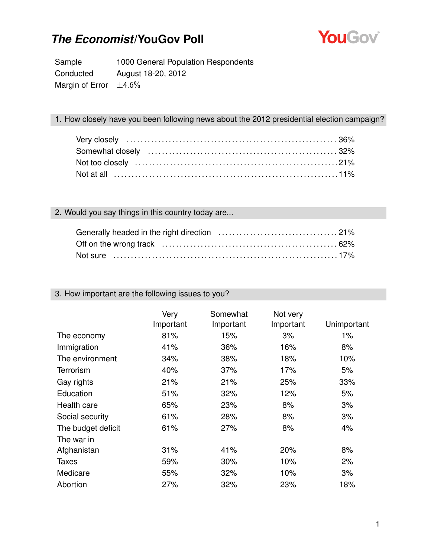

Sample 1000 General Population Respondents Conducted August 18-20, 2012 Margin of Error  $\pm 4.6\%$ 

#### 1. How closely have you been following news about the 2012 presidential election campaign?

#### 2. Would you say things in this country today are...

| Not sure ……………………………………………………………………17% |  |
|----------------------------------------|--|

#### 3. How important are the following issues to you?

|                    | Very<br>Important | Somewhat<br>Important | Not very<br>Important | Unimportant |
|--------------------|-------------------|-----------------------|-----------------------|-------------|
| The economy        | 81%               | 15%                   | 3%                    | $1\%$       |
| Immigration        | 41%               | 36%                   | 16%                   | 8%          |
| The environment    | 34%               | 38%                   | 18%                   | 10%         |
| <b>Terrorism</b>   | 40%               | 37%                   | 17%                   | 5%          |
| Gay rights         | 21%               | 21%                   | 25%                   | 33%         |
| Education          | 51%               | 32%                   | 12%                   | 5%          |
| Health care        | 65%               | 23%                   | 8%                    | 3%          |
| Social security    | 61%               | 28%                   | 8%                    | 3%          |
| The budget deficit | 61%               | 27%                   | 8%                    | 4%          |
| The war in         |                   |                       |                       |             |
| Afghanistan        | 31%               | 41%                   | 20%                   | 8%          |
| Taxes              | 59%               | 30%                   | 10%                   | 2%          |
| Medicare           | 55%               | 32%                   | 10%                   | 3%          |
| Abortion           | 27%               | 32%                   | 23%                   | 18%         |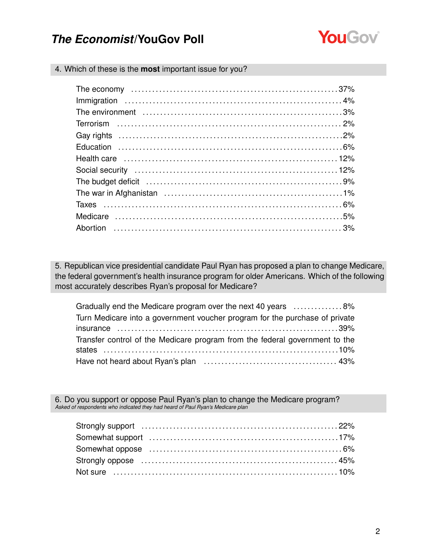

4. Which of these is the **most** important issue for you?

| The budget deficit (and according to the budget deficit (and according to the budget deficit (and according to the budget of $9\%$ |  |
|------------------------------------------------------------------------------------------------------------------------------------|--|
|                                                                                                                                    |  |
|                                                                                                                                    |  |
|                                                                                                                                    |  |
|                                                                                                                                    |  |

5. Republican vice presidential candidate Paul Ryan has proposed a plan to change Medicare, the federal government's health insurance program for older Americans. Which of the following most accurately describes Ryan's proposal for Medicare?

| Gradually end the Medicare program over the next 40 years 8%                |  |
|-----------------------------------------------------------------------------|--|
| Turn Medicare into a government voucher program for the purchase of private |  |
|                                                                             |  |
| Transfer control of the Medicare program from the federal government to the |  |
|                                                                             |  |
|                                                                             |  |

6. Do you support or oppose Paul Ryan's plan to change the Medicare program? *Asked of respondents who indicated they had heard of Paul Ryan's Medicare plan*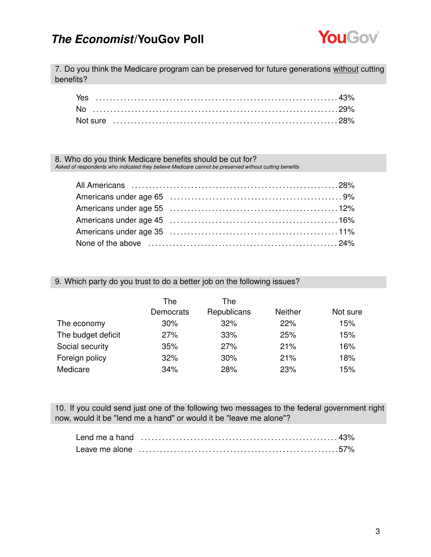

7. Do you think the Medicare program can be preserved for future generations without cutting benefits?

#### 8. Who do you think Medicare benefits should be cut for? *Asked of respondents who indicated they believe Medicare cannot be preserved without cutting benefits*

#### 9. Which party do you trust to do a better job on the following issues?

|                    | The       | The         |                |          |
|--------------------|-----------|-------------|----------------|----------|
|                    | Democrats | Republicans | <b>Neither</b> | Not sure |
| The economy        | 30%       | 32%         | 22%            | 15%      |
| The budget deficit | 27%       | 33%         | 25%            | 15%      |
| Social security    | 35%       | 27%         | 21%            | 16%      |
| Foreign policy     | 32%       | 30%         | 21%            | 18%      |
| Medicare           | 34%       | 28%         | 23%            | 15%      |

10. If you could send just one of the following two messages to the federal government right now, would it be "lend me a hand" or would it be "leave me alone"?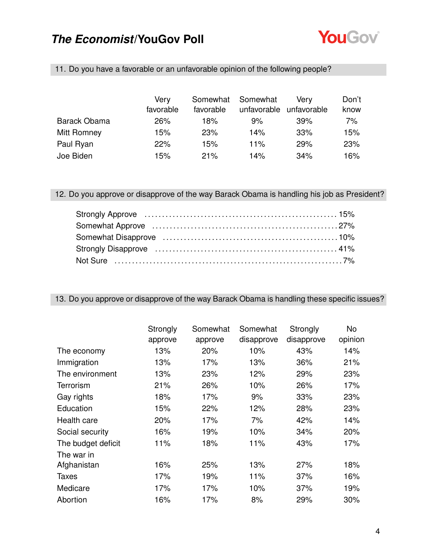

| 11. Do you have a favorable or an unfavorable opinion of the following people? |  |
|--------------------------------------------------------------------------------|--|
|                                                                                |  |

|                     | Verv      | Somewhat   | Somewhat    | Verv        | Don't |
|---------------------|-----------|------------|-------------|-------------|-------|
|                     | favorable | favorable  | unfavorable | unfavorable | know  |
| <b>Barack Obama</b> | 26%       | 18%        | 9%          | 39%         | 7%    |
| Mitt Romney         | 15%       | <b>23%</b> | 14%         | 33%         | 15%   |
| Paul Ryan           | 22%       | 15%        | 11%         | 29%         | 23%   |
| Joe Biden           | 15%       | 21%        | 14%         | 34%         | 16%   |

12. Do you approve or disapprove of the way Barack Obama is handling his job as President?

#### 13. Do you approve or disapprove of the way Barack Obama is handling these specific issues?

|                    | Strongly<br>approve | Somewhat<br>approve | Somewhat<br>disapprove | Strongly<br>disapprove | No<br>opinion |
|--------------------|---------------------|---------------------|------------------------|------------------------|---------------|
| The economy        | 13%                 | 20%                 | 10%                    | 43%                    | 14%           |
| Immigration        | 13%                 | 17%                 | 13%                    | 36%                    | 21%           |
| The environment    | 13%                 | 23%                 | 12%                    | 29%                    | 23%           |
| Terrorism          | 21%                 | 26%                 | 10%                    | 26%                    | 17%           |
| Gay rights         | 18%                 | 17%                 | 9%                     | 33%                    | 23%           |
| Education          | 15%                 | 22%                 | 12%                    | 28%                    | 23%           |
| Health care        | 20%                 | 17%                 | 7%                     | 42%                    | 14%           |
| Social security    | 16%                 | 19%                 | 10%                    | 34%                    | 20%           |
| The budget deficit | 11%                 | 18%                 | 11%                    | 43%                    | 17%           |
| The war in         |                     |                     |                        |                        |               |
| Afghanistan        | 16%                 | 25%                 | 13%                    | 27%                    | 18%           |
| <b>Taxes</b>       | 17%                 | 19%                 | 11%                    | 37%                    | 16%           |
| Medicare           | 17%                 | 17%                 | 10%                    | 37%                    | 19%           |
| Abortion           | 16%                 | 17%                 | 8%                     | 29%                    | 30%           |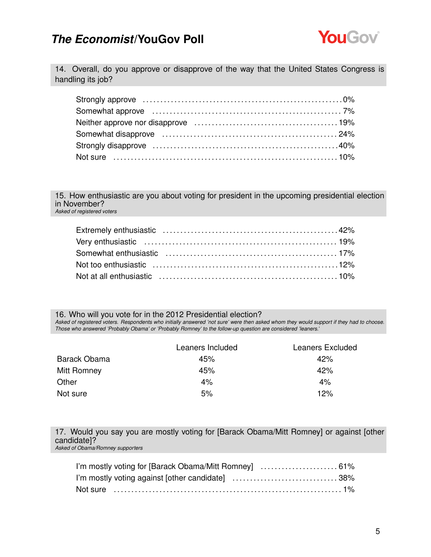

14. Overall, do you approve or disapprove of the way that the United States Congress is handling its job?

15. How enthusiastic are you about voting for president in the upcoming presidential election in November? *Asked of registered voters*

16. Who will you vote for in the 2012 Presidential election? *Asked of registered voters. Respondents who initially answered 'not sure' were then asked whom they would support if they had to choose. Those who answered 'Probably Obama' or 'Probably Romney' to the follow-up question are considered 'leaners.'*

|              | Leaners Included | <b>Leaners Excluded</b> |
|--------------|------------------|-------------------------|
| Barack Obama | 45%              | 42%                     |
| Mitt Romney  | 45%              | 42%                     |
| Other        | 4%               | 4%                      |
| Not sure     | 5%               | 12%                     |

17. Would you say you are mostly voting for [Barack Obama/Mitt Romney] or against [other candidate]? *Asked of Obama/Romney supporters*

| l'm mostly voting against [other candidate] 38% |  |
|-------------------------------------------------|--|
|                                                 |  |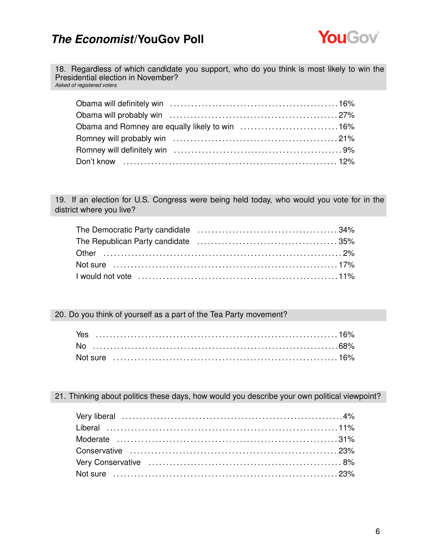

18. Regardless of which candidate you support, who do you think is most likely to win the Presidential election in November? *Asked of registered voters*

19. If an election for U.S. Congress were being held today, who would you vote for in the district where you live?

#### 20. Do you think of yourself as a part of the Tea Party movement?

#### 21. Thinking about politics these days, how would you describe your own political viewpoint?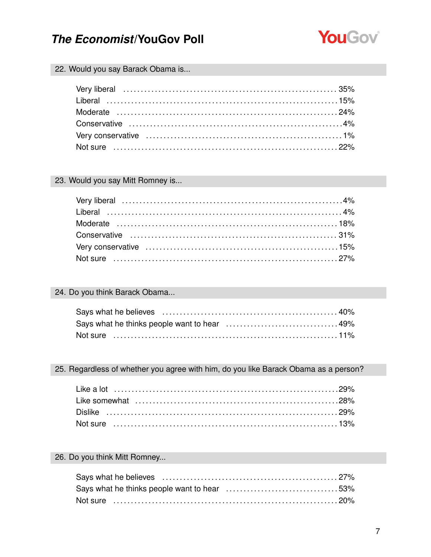

#### 22. Would you say Barack Obama is...

#### 23. Would you say Mitt Romney is...

#### 24. Do you think Barack Obama...

| Not sure …………………………………………………………………11% |  |
|---------------------------------------|--|

#### 25. Regardless of whether you agree with him, do you like Barack Obama as a person?

#### 26. Do you think Mitt Romney...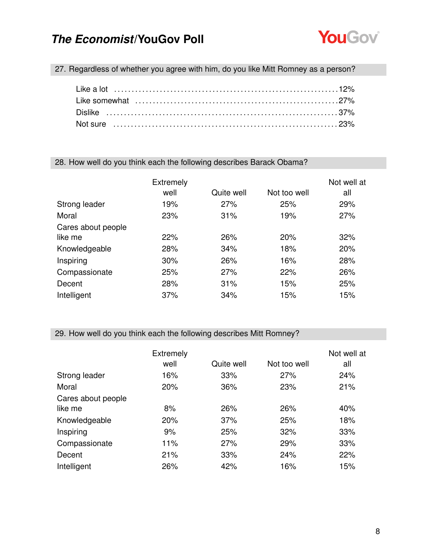

27. Regardless of whether you agree with him, do you like Mitt Romney as a person?

#### 28. How well do you think each the following describes Barack Obama?

|                    | <b>Extremely</b><br>well | Quite well | Not too well | Not well at<br>all |
|--------------------|--------------------------|------------|--------------|--------------------|
| Strong leader      | 19%                      | 27%        | 25%          | 29%                |
| Moral              | 23%                      | 31%        | 19%          | 27%                |
| Cares about people |                          |            |              |                    |
| like me            | 22%                      | 26%        | 20%          | 32%                |
| Knowledgeable      | 28%                      | 34%        | 18%          | 20%                |
| Inspiring          | 30%                      | 26%        | 16%          | 28%                |
| Compassionate      | 25%                      | 27%        | 22%          | 26%                |
| Decent             | 28%                      | 31%        | 15%          | 25%                |
| Intelligent        | 37%                      | 34%        | 15%          | 15%                |

#### 29. How well do you think each the following describes Mitt Romney?

|                    | <b>Extremely</b><br>well | Quite well | Not too well | Not well at<br>all |
|--------------------|--------------------------|------------|--------------|--------------------|
| Strong leader      | 16%                      | 33%        | 27%          | 24%                |
| Moral              | 20%                      | 36%        | 23%          | 21%                |
| Cares about people |                          |            |              |                    |
| like me            | 8%                       | 26%        | 26%          | 40%                |
| Knowledgeable      | 20%                      | 37%        | 25%          | 18%                |
| Inspiring          | 9%                       | 25%        | 32%          | 33%                |
| Compassionate      | 11%                      | 27%        | 29%          | 33%                |
| Decent             | 21%                      | 33%        | 24%          | 22%                |
| Intelligent        | 26%                      | 42%        | 16%          | 15%                |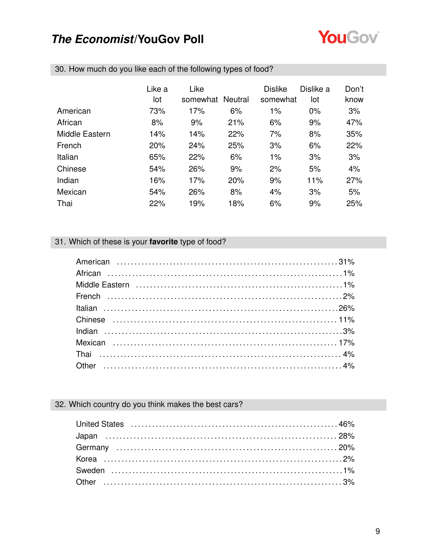

|                | Like a<br>lot | Like<br>somewhat Neutral |     | <b>Dislike</b><br>somewhat | Dislike a<br>lot | Don't<br>know |
|----------------|---------------|--------------------------|-----|----------------------------|------------------|---------------|
| American       | 73%           | 17%                      | 6%  | 1%                         | $0\%$            | 3%            |
| African        | 8%            | 9%                       | 21% | 6%                         | 9%               | 47%           |
| Middle Eastern | 14%           | 14%                      | 22% | 7%                         | 8%               | 35%           |
| French         | 20%           | 24%                      | 25% | 3%                         | 6%               | 22%           |
| Italian        | 65%           | 22%                      | 6%  | $1\%$                      | 3%               | 3%            |
| Chinese        | 54%           | 26%                      | 9%  | 2%                         | 5%               | 4%            |
| Indian         | 16%           | 17%                      | 20% | 9%                         | 11%              | 27%           |
| Mexican        | 54%           | 26%                      | 8%  | 4%                         | 3%               | 5%            |
| Thai           | 22%           | 19%                      | 18% | 6%                         | 9%               | 25%           |

30. How much do you like each of the following types of food?

### 31. Which of these is your **favorite** type of food?

#### 32. Which country do you think makes the best cars?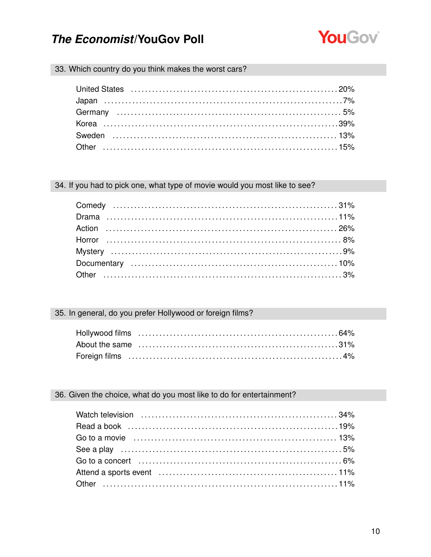

33. Which country do you think makes the worst cars?

34. If you had to pick one, what type of movie would you most like to see?

#### 35. In general, do you prefer Hollywood or foreign films?

#### 36. Given the choice, what do you most like to do for entertainment?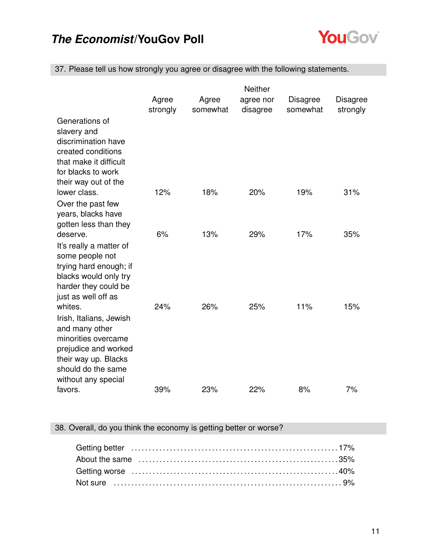

37. Please tell us how strongly you agree or disagree with the following statements.

|                                            |                   |                   | <b>Neither</b>        |                             |                             |
|--------------------------------------------|-------------------|-------------------|-----------------------|-----------------------------|-----------------------------|
|                                            | Agree<br>strongly | Agree<br>somewhat | agree nor<br>disagree | <b>Disagree</b><br>somewhat | <b>Disagree</b><br>strongly |
| Generations of                             |                   |                   |                       |                             |                             |
| slavery and                                |                   |                   |                       |                             |                             |
| discrimination have                        |                   |                   |                       |                             |                             |
| created conditions                         |                   |                   |                       |                             |                             |
| that make it difficult                     |                   |                   |                       |                             |                             |
| for blacks to work                         |                   |                   |                       |                             |                             |
| their way out of the                       |                   |                   |                       |                             |                             |
| lower class.                               | 12%               | 18%               | 20%                   | 19%                         | 31%                         |
| Over the past few                          |                   |                   |                       |                             |                             |
| years, blacks have                         |                   |                   |                       |                             |                             |
| gotten less than they<br>deserve.          | 6%                | 13%               | 29%                   | 17%                         | 35%                         |
|                                            |                   |                   |                       |                             |                             |
| It's really a matter of<br>some people not |                   |                   |                       |                             |                             |
| trying hard enough; if                     |                   |                   |                       |                             |                             |
| blacks would only try                      |                   |                   |                       |                             |                             |
| harder they could be                       |                   |                   |                       |                             |                             |
| just as well off as                        |                   |                   |                       |                             |                             |
| whites.                                    | 24%               | 26%               | 25%                   | 11%                         | 15%                         |
| Irish, Italians, Jewish                    |                   |                   |                       |                             |                             |
| and many other                             |                   |                   |                       |                             |                             |
| minorities overcame                        |                   |                   |                       |                             |                             |
| prejudice and worked                       |                   |                   |                       |                             |                             |
| their way up. Blacks                       |                   |                   |                       |                             |                             |
| should do the same                         |                   |                   |                       |                             |                             |
| without any special                        |                   |                   |                       |                             |                             |
| favors.                                    | 39%               | 23%               | 22%                   | 8%                          | 7%                          |

### 38. Overall, do you think the economy is getting better or worse?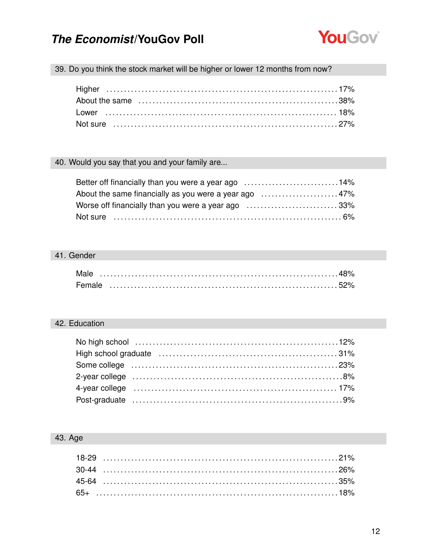

39. Do you think the stock market will be higher or lower 12 months from now?

### 40. Would you say that you and your family are...

| Better off financially than you were a year ago 14%   |  |
|-------------------------------------------------------|--|
| About the same financially as you were a year ago 47% |  |
| Worse off financially than you were a year ago 33%    |  |
|                                                       |  |

#### 41. Gender

| Male   |  |  |  |  |  |  |  |  |  |  |  |  |  |  |  |  |  |
|--------|--|--|--|--|--|--|--|--|--|--|--|--|--|--|--|--|--|
| Female |  |  |  |  |  |  |  |  |  |  |  |  |  |  |  |  |  |

#### 42. Education

| Some college (and according to the collection of the collection of the collection of the collection of the col |  |
|----------------------------------------------------------------------------------------------------------------|--|
|                                                                                                                |  |
|                                                                                                                |  |
|                                                                                                                |  |

#### 43. Age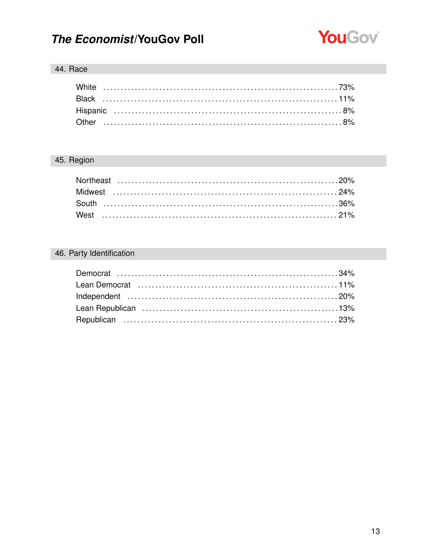

#### 44. Race

### 45. Region

### 46. Party Identification

| Lean Democrat (and the continuum of the canonical contract to the canonical text of the canonical text of the |  |
|---------------------------------------------------------------------------------------------------------------|--|
|                                                                                                               |  |
|                                                                                                               |  |
|                                                                                                               |  |